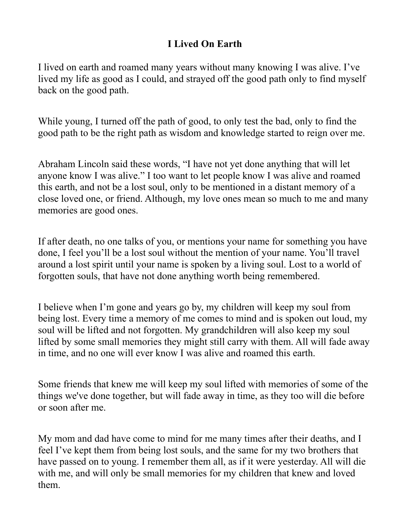## **I Lived On Earth**

I lived on earth and roamed many years without many knowing I was alive. I've lived my life as good as I could, and strayed off the good path only to find myself back on the good path.

While young, I turned off the path of good, to only test the bad, only to find the good path to be the right path as wisdom and knowledge started to reign over me.

Abraham Lincoln said these words, "I have not yet done anything that will let anyone know I was alive." I too want to let people know I was alive and roamed this earth, and not be a lost soul, only to be mentioned in a distant memory of a close loved one, or friend. Although, my love ones mean so much to me and many memories are good ones.

If after death, no one talks of you, or mentions your name for something you have done, I feel you'll be a lost soul without the mention of your name. You'll travel around a lost spirit until your name is spoken by a living soul. Lost to a world of forgotten souls, that have not done anything worth being remembered.

I believe when I'm gone and years go by, my children will keep my soul from being lost. Every time a memory of me comes to mind and is spoken out loud, my soul will be lifted and not forgotten. My grandchildren will also keep my soul lifted by some small memories they might still carry with them. All will fade away in time, and no one will ever know I was alive and roamed this earth.

Some friends that knew me will keep my soul lifted with memories of some of the things we've done together, but will fade away in time, as they too will die before or soon after me.

My mom and dad have come to mind for me many times after their deaths, and I feel I've kept them from being lost souls, and the same for my two brothers that have passed on to young. I remember them all, as if it were yesterday. All will die with me, and will only be small memories for my children that knew and loved them.